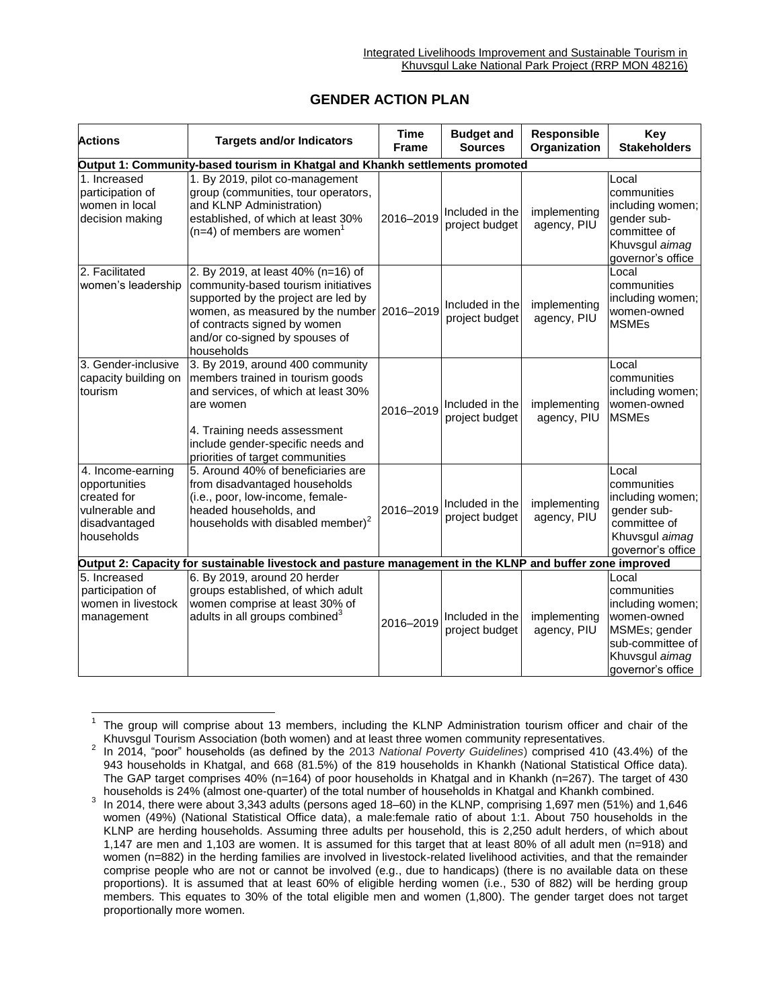## **GENDER ACTION PLAN**

| <b>Actions</b>                                                                                           | <b>Targets and/or Indicators</b>                                                                                                                                                                                                               | <b>Time</b><br><b>Frame</b> | <b>Budget and</b><br><b>Sources</b> | Responsible<br>Organization | Key<br><b>Stakeholders</b>                                                                                                          |  |  |  |  |
|----------------------------------------------------------------------------------------------------------|------------------------------------------------------------------------------------------------------------------------------------------------------------------------------------------------------------------------------------------------|-----------------------------|-------------------------------------|-----------------------------|-------------------------------------------------------------------------------------------------------------------------------------|--|--|--|--|
| Output 1: Community-based tourism in Khatgal and Khankh settlements promoted                             |                                                                                                                                                                                                                                                |                             |                                     |                             |                                                                                                                                     |  |  |  |  |
| 1. Increased<br>participation of<br>women in local<br>decision making                                    | 1. By 2019, pilot co-management<br>group (communities, tour operators,<br>and KLNP Administration)<br>established, of which at least 30%<br>$(n=4)$ of members are women <sup>1</sup>                                                          | 2016-2019                   | Included in the<br>project budget   | implementing<br>agency, PIU | Local<br>communities<br>including women;<br>gender sub-<br>committee of<br>Khuvsgul aimag<br>governor's office                      |  |  |  |  |
| 2. Facilitated<br>women's leadership                                                                     | 2. By 2019, at least 40% (n=16) of<br>community-based tourism initiatives<br>supported by the project are led by<br>women, as measured by the number 2016-2019<br>of contracts signed by women<br>and/or co-signed by spouses of<br>households |                             | Included in the<br>project budget   | implementing<br>agency, PIU | Local<br>communities<br>including women;<br>women-owned<br><b>MSMEs</b>                                                             |  |  |  |  |
| 3. Gender-inclusive<br>capacity building on<br>tourism                                                   | 3. By 2019, around 400 community<br>members trained in tourism goods<br>and services, of which at least 30%<br>are women<br>4. Training needs assessment<br>include gender-specific needs and<br>priorities of target communities              | 2016-2019                   | Included in the<br>project budget   | implementing<br>agency, PIU | Local<br>communities<br>including women;<br>women-owned<br><b>MSMEs</b>                                                             |  |  |  |  |
| 4. Income-earning<br>opportunities<br>created for<br>vulnerable and<br>disadvantaged<br>households       | 5. Around 40% of beneficiaries are<br>from disadvantaged households<br>(i.e., poor, low-income, female-<br>headed households, and<br>households with disabled member) <sup>2</sup>                                                             | 2016-2019                   | Included in the<br>project budget   | implementing<br>agency, PIU | Local<br>communities<br>including women;<br>gender sub-<br>committee of<br>Khuvsgul aimag<br>governor's office                      |  |  |  |  |
| Output 2: Capacity for sustainable livestock and pasture management in the KLNP and buffer zone improved |                                                                                                                                                                                                                                                |                             |                                     |                             |                                                                                                                                     |  |  |  |  |
| 5. Increased<br>participation of<br>women in livestock<br>management                                     | 6. By 2019, around 20 herder<br>groups established, of which adult<br>women comprise at least 30% of<br>adults in all groups combined <sup>3</sup>                                                                                             | 2016-2019                   | Included in the<br>project budget   | implementing<br>agency, PIU | Local<br>communities<br>including women;<br>women-owned<br>MSMEs; gender<br>sub-committee of<br>Khuvsgul aimag<br>governor's office |  |  |  |  |

 $\overline{a}$ 1 The group will comprise about 13 members, including the KLNP Administration tourism officer and chair of the Khuvsgul Tourism Association (both women) and at least three women community representatives.

<sup>2</sup> In 2014, "poor" households (as defined by the 2013 *National Poverty Guidelines*) comprised 410 (43.4%) of the 943 households in Khatgal, and 668 (81.5%) of the 819 households in Khankh (National Statistical Office data). The GAP target comprises 40% (n=164) of poor households in Khatgal and in Khankh (n=267). The target of 430 households is 24% (almost one-quarter) of the total number of households in Khatgal and Khankh combined.

<sup>3</sup> In 2014, there were about 3,343 adults (persons aged 18–60) in the KLNP, comprising 1,697 men (51%) and 1,646 women (49%) (National Statistical Office data), a male:female ratio of about 1:1. About 750 households in the KLNP are herding households. Assuming three adults per household, this is 2,250 adult herders, of which about 1,147 are men and 1,103 are women. It is assumed for this target that at least 80% of all adult men (n=918) and women (n=882) in the herding families are involved in livestock-related livelihood activities, and that the remainder comprise people who are not or cannot be involved (e.g., due to handicaps) (there is no available data on these proportions). It is assumed that at least 60% of eligible herding women (i.e., 530 of 882) will be herding group members. This equates to 30% of the total eligible men and women (1,800). The gender target does not target proportionally more women.